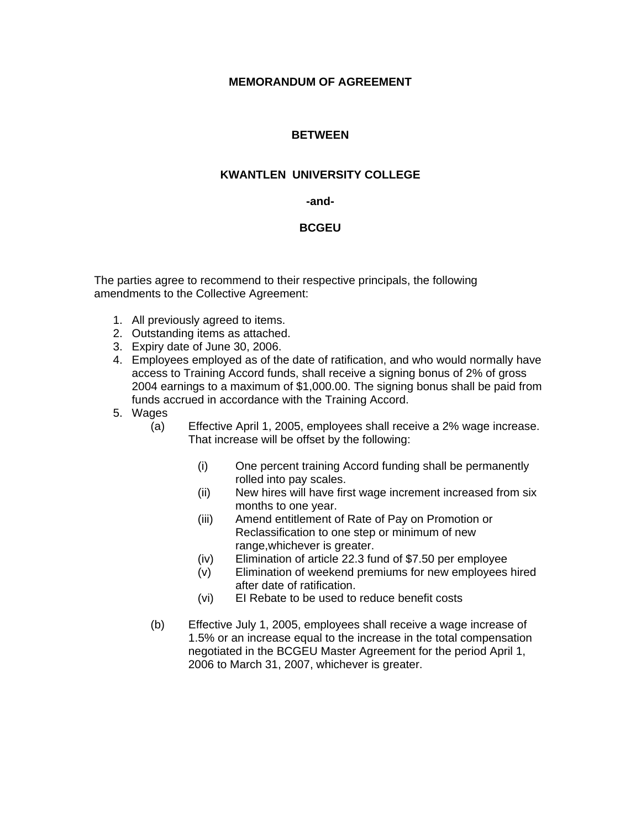# **MEMORANDUM OF AGREEMENT**

## **BETWEEN**

### **KWANTLEN UNIVERSITY COLLEGE**

#### **-and-**

## **BCGEU**

The parties agree to recommend to their respective principals, the following amendments to the Collective Agreement:

- 1. All previously agreed to items.
- 2. Outstanding items as attached.
- 3. Expiry date of June 30, 2006.
- 4. Employees employed as of the date of ratification, and who would normally have access to Training Accord funds, shall receive a signing bonus of 2% of gross 2004 earnings to a maximum of \$1,000.00. The signing bonus shall be paid from funds accrued in accordance with the Training Accord.
- 5. Wages

(a) Effective April 1, 2005, employees shall receive a 2% wage increase. That increase will be offset by the following:

- (i) One percent training Accord funding shall be permanently rolled into pay scales.
- (ii) New hires will have first wage increment increased from six months to one year.
- (iii) Amend entitlement of Rate of Pay on Promotion or Reclassification to one step or minimum of new range,whichever is greater.
- (iv) Elimination of article 22.3 fund of \$7.50 per employee
- (v) Elimination of weekend premiums for new employees hired after date of ratification.
- (vi) EI Rebate to be used to reduce benefit costs
- (b) Effective July 1, 2005, employees shall receive a wage increase of 1.5% or an increase equal to the increase in the total compensation negotiated in the BCGEU Master Agreement for the period April 1, 2006 to March 31, 2007, whichever is greater.